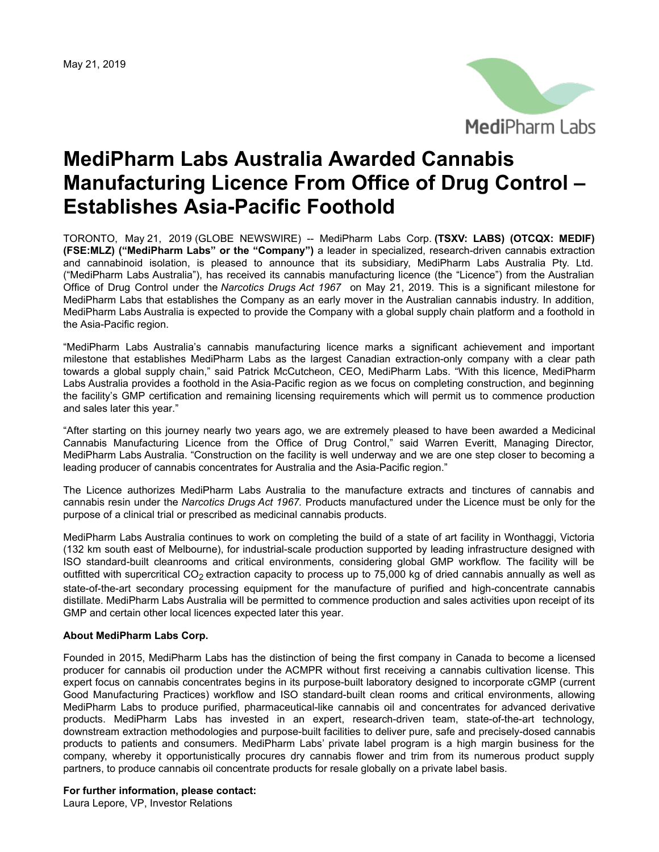May 21, 2019



## **MediPharm Labs Australia Awarded Cannabis Manufacturing Licence From Office of Drug Control – Establishes Asia-Pacific Foothold**

TORONTO, May 21, 2019 (GLOBE NEWSWIRE) -- MediPharm Labs Corp. **(TSXV: LABS) (OTCQX: MEDIF) (FSE:MLZ) ("MediPharm Labs" or the "Company")** a leader in specialized, research-driven cannabis extraction and cannabinoid isolation, is pleased to announce that its subsidiary, MediPharm Labs Australia Pty. Ltd. ("MediPharm Labs Australia"), has received its cannabis manufacturing licence (the "Licence") from the Australian Office of Drug Control under the *Narcotics Drugs Act 1967* on May 21, 2019. This is a significant milestone for MediPharm Labs that establishes the Company as an early mover in the Australian cannabis industry. In addition, MediPharm Labs Australia is expected to provide the Company with a global supply chain platform and a foothold in the Asia-Pacific region.

"MediPharm Labs Australia's cannabis manufacturing licence marks a significant achievement and important milestone that establishes MediPharm Labs as the largest Canadian extraction-only company with a clear path towards a global supply chain," said Patrick McCutcheon, CEO, MediPharm Labs. "With this licence, MediPharm Labs Australia provides a foothold in the Asia-Pacific region as we focus on completing construction, and beginning the facility's GMP certification and remaining licensing requirements which will permit us to commence production and sales later this year."

"After starting on this journey nearly two years ago, we are extremely pleased to have been awarded a Medicinal Cannabis Manufacturing Licence from the Office of Drug Control," said Warren Everitt, Managing Director, MediPharm Labs Australia. "Construction on the facility is well underway and we are one step closer to becoming a leading producer of cannabis concentrates for Australia and the Asia-Pacific region."

The Licence authorizes MediPharm Labs Australia to the manufacture extracts and tinctures of cannabis and cannabis resin under the *Narcotics Drugs Act 1967.* Products manufactured under the Licence must be only for the purpose of a clinical trial or prescribed as medicinal cannabis products.

MediPharm Labs Australia continues to work on completing the build of a state of art facility in Wonthaggi, Victoria (132 km south east of Melbourne), for industrial-scale production supported by leading infrastructure designed with ISO standard-built cleanrooms and critical environments, considering global GMP workflow. The facility will be outfitted with supercritical  $CO<sub>2</sub>$  extraction capacity to process up to 75,000 kg of dried cannabis annually as well as state-of-the-art secondary processing equipment for the manufacture of purified and high-concentrate cannabis distillate. MediPharm Labs Australia will be permitted to commence production and sales activities upon receipt of its GMP and certain other local licences expected later this year.

## **About MediPharm Labs Corp.**

Founded in 2015, MediPharm Labs has the distinction of being the first company in Canada to become a licensed producer for cannabis oil production under the ACMPR without first receiving a cannabis cultivation license. This expert focus on cannabis concentrates begins in its purpose-built laboratory designed to incorporate cGMP (current Good Manufacturing Practices) workflow and ISO standard-built clean rooms and critical environments, allowing MediPharm Labs to produce purified, pharmaceutical-like cannabis oil and concentrates for advanced derivative products. MediPharm Labs has invested in an expert, research-driven team, state-of-the-art technology, downstream extraction methodologies and purpose-built facilities to deliver pure, safe and precisely-dosed cannabis products to patients and consumers. MediPharm Labs' private label program is a high margin business for the company, whereby it opportunistically procures dry cannabis flower and trim from its numerous product supply partners, to produce cannabis oil concentrate products for resale globally on a private label basis.

## **For further information, please contact:**

Laura Lepore, VP, Investor Relations